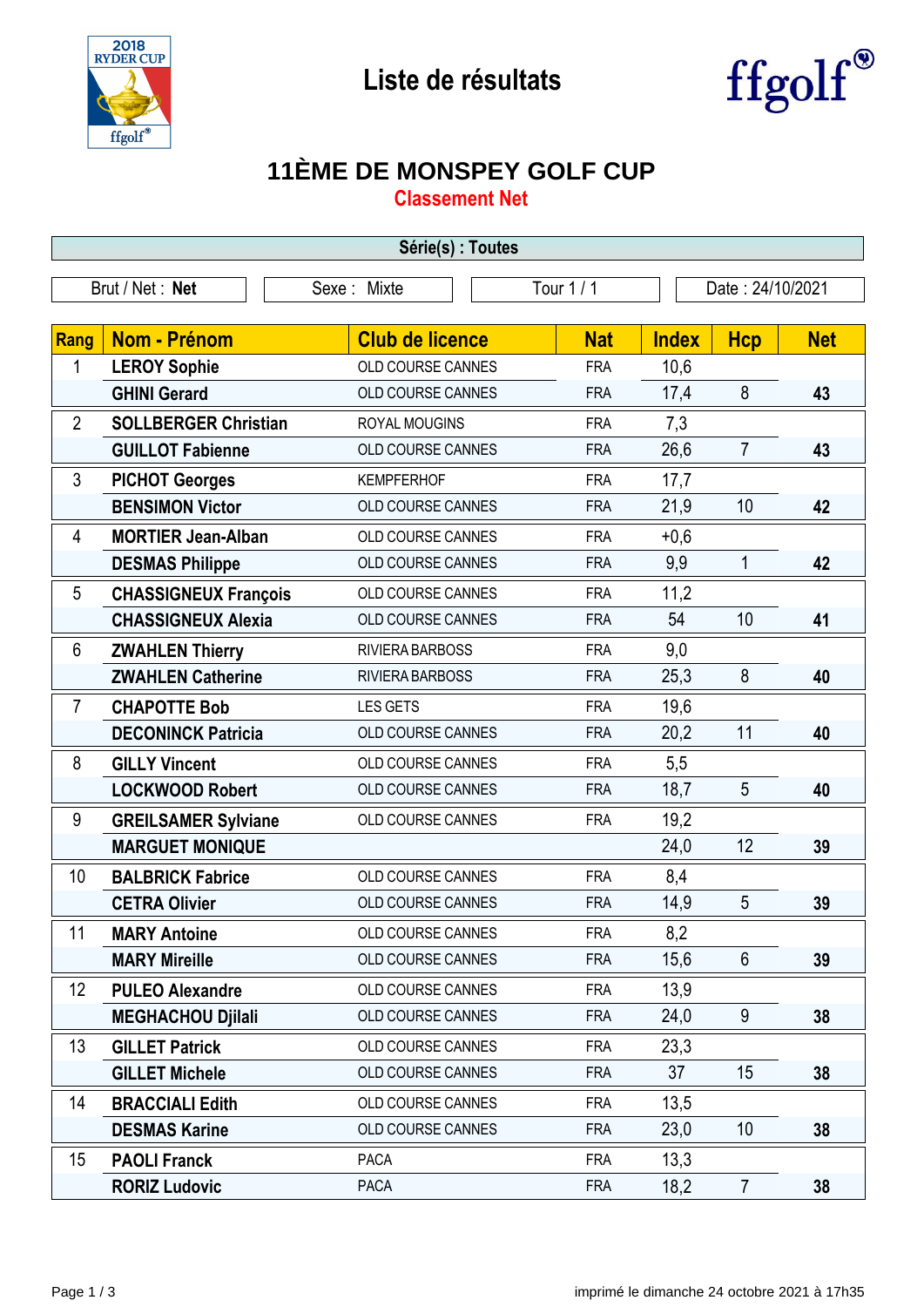



## **11ÈME DE MONSPEY GOLF CUP**

**Classement Net**

| Série(s) : Toutes                                                |                             |                          |            |              |                |            |
|------------------------------------------------------------------|-----------------------------|--------------------------|------------|--------------|----------------|------------|
| Tour 1 / 1<br>Brut / Net: Net<br>Sexe: Mixte<br>Date: 24/10/2021 |                             |                          |            |              |                |            |
|                                                                  |                             |                          |            |              |                |            |
| Rang                                                             | <b>Nom - Prénom</b>         | <b>Club de licence</b>   | <b>Nat</b> | <b>Index</b> | <b>Hcp</b>     | <b>Net</b> |
| 1                                                                | <b>LEROY Sophie</b>         | OLD COURSE CANNES        | <b>FRA</b> | 10,6         |                |            |
|                                                                  | <b>GHINI Gerard</b>         | OLD COURSE CANNES        | <b>FRA</b> | 17,4         | 8              | 43         |
| $\overline{2}$                                                   | <b>SOLLBERGER Christian</b> | ROYAL MOUGINS            | <b>FRA</b> | 7,3          |                |            |
|                                                                  | <b>GUILLOT Fabienne</b>     | OLD COURSE CANNES        | <b>FRA</b> | 26,6         | $\overline{7}$ | 43         |
| 3                                                                | <b>PICHOT Georges</b>       | <b>KEMPFERHOF</b>        | <b>FRA</b> | 17,7         |                |            |
|                                                                  | <b>BENSIMON Victor</b>      | OLD COURSE CANNES        | <b>FRA</b> | 21,9         | 10             | 42         |
| 4                                                                | <b>MORTIER Jean-Alban</b>   | OLD COURSE CANNES        | <b>FRA</b> | $+0,6$       |                |            |
|                                                                  | <b>DESMAS Philippe</b>      | OLD COURSE CANNES        | <b>FRA</b> | 9,9          | 1              | 42         |
| 5                                                                | <b>CHASSIGNEUX François</b> | OLD COURSE CANNES        | <b>FRA</b> | 11,2         |                |            |
|                                                                  | <b>CHASSIGNEUX Alexia</b>   | OLD COURSE CANNES        | <b>FRA</b> | 54           | 10             | 41         |
| 6                                                                | <b>ZWAHLEN Thierry</b>      | RIVIERA BARBOSS          | <b>FRA</b> | 9,0          |                |            |
|                                                                  | <b>ZWAHLEN Catherine</b>    | RIVIERA BARBOSS          | <b>FRA</b> | 25,3         | 8              | 40         |
| $\overline{7}$                                                   | <b>CHAPOTTE Bob</b>         | <b>LES GETS</b>          | <b>FRA</b> | 19,6         |                |            |
|                                                                  | <b>DECONINCK Patricia</b>   | OLD COURSE CANNES        | <b>FRA</b> | 20,2         | 11             | 40         |
| 8                                                                | <b>GILLY Vincent</b>        | OLD COURSE CANNES        | <b>FRA</b> | 5,5          |                |            |
|                                                                  | <b>LOCKWOOD Robert</b>      | OLD COURSE CANNES        | <b>FRA</b> | 18,7         | 5              | 40         |
| 9                                                                | <b>GREILSAMER Sylviane</b>  | OLD COURSE CANNES        | <b>FRA</b> | 19,2         |                |            |
|                                                                  | <b>MARGUET MONIQUE</b>      |                          |            | 24,0         | 12             | 39         |
| 10                                                               | <b>BALBRICK Fabrice</b>     | OLD COURSE CANNES        | <b>FRA</b> | 8,4          |                |            |
|                                                                  | <b>CETRA Olivier</b>        | OLD COURSE CANNES        | <b>FRA</b> | 14,9         | 5              | 39         |
| 11                                                               | <b>MARY Antoine</b>         | OLD COURSE CANNES        | <b>FRA</b> | 8,2          |                |            |
|                                                                  | <b>MARY Mireille</b>        | OLD COURSE CANNES        | <b>FRA</b> | 15,6         | $6\phantom{1}$ | 39         |
| 12                                                               | <b>PULEO Alexandre</b>      | <b>OLD COURSE CANNES</b> | <b>FRA</b> | 13,9         |                |            |
|                                                                  | <b>MEGHACHOU Djilali</b>    | OLD COURSE CANNES        | <b>FRA</b> | 24,0         | 9              | 38         |
| 13                                                               | <b>GILLET Patrick</b>       | OLD COURSE CANNES        | <b>FRA</b> | 23,3         |                |            |
|                                                                  | <b>GILLET Michele</b>       | OLD COURSE CANNES        | <b>FRA</b> | 37           | 15             | 38         |
| 14                                                               | <b>BRACCIALI Edith</b>      | OLD COURSE CANNES        | <b>FRA</b> | 13,5         |                |            |
|                                                                  | <b>DESMAS Karine</b>        | OLD COURSE CANNES        | <b>FRA</b> | 23,0         | 10             | 38         |
| 15                                                               | <b>PAOLI Franck</b>         | <b>PACA</b>              | <b>FRA</b> | 13,3         |                |            |
|                                                                  | <b>RORIZ Ludovic</b>        | <b>PACA</b>              | <b>FRA</b> | 18,2         | $\overline{7}$ | 38         |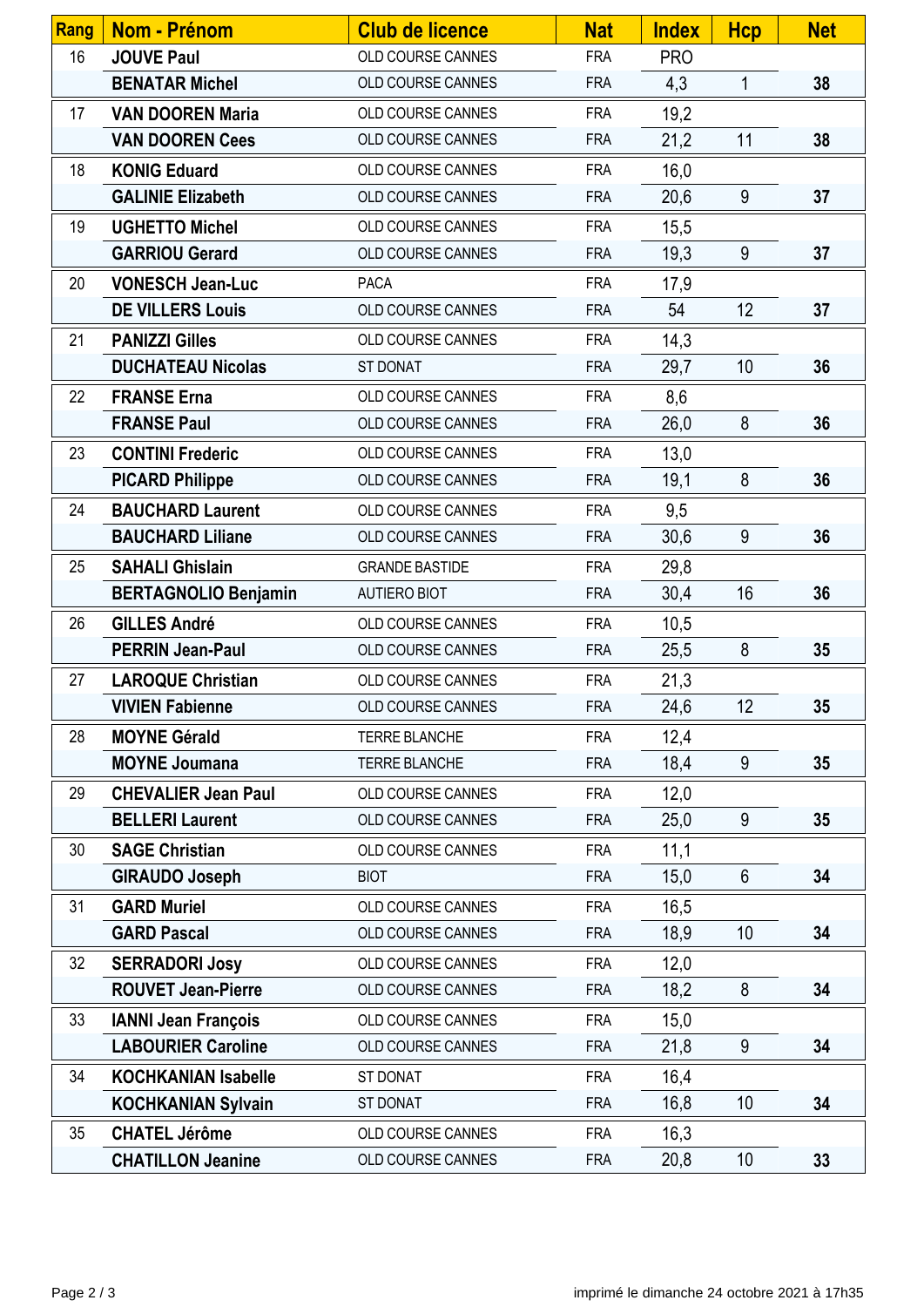| Rang | <b>Nom - Prénom</b>         | <b>Club de licence</b>   | <b>Nat</b> | <b>Index</b> | <b>Hcp</b>      | <b>Net</b> |
|------|-----------------------------|--------------------------|------------|--------------|-----------------|------------|
| 16   | <b>JOUVE Paul</b>           | OLD COURSE CANNES        | <b>FRA</b> | <b>PRO</b>   |                 |            |
|      | <b>BENATAR Michel</b>       | OLD COURSE CANNES        | <b>FRA</b> | 4,3          | 1               | 38         |
| 17   | <b>VAN DOOREN Maria</b>     | OLD COURSE CANNES        | <b>FRA</b> | 19,2         |                 |            |
|      | <b>VAN DOOREN Cees</b>      | OLD COURSE CANNES        | <b>FRA</b> | 21,2         | 11              | 38         |
| 18   | <b>KONIG Eduard</b>         | OLD COURSE CANNES        | <b>FRA</b> | 16,0         |                 |            |
|      | <b>GALINIE Elizabeth</b>    | OLD COURSE CANNES        | <b>FRA</b> | 20,6         | 9               | 37         |
| 19   | <b>UGHETTO Michel</b>       | OLD COURSE CANNES        | <b>FRA</b> | 15,5         |                 |            |
|      | <b>GARRIOU Gerard</b>       | OLD COURSE CANNES        | <b>FRA</b> | 19,3         | 9               | 37         |
| 20   | <b>VONESCH Jean-Luc</b>     | <b>PACA</b>              | <b>FRA</b> | 17,9         |                 |            |
|      | <b>DE VILLERS Louis</b>     | OLD COURSE CANNES        | <b>FRA</b> | 54           | 12              | 37         |
| 21   | <b>PANIZZI Gilles</b>       | OLD COURSE CANNES        | <b>FRA</b> | 14,3         |                 |            |
|      | <b>DUCHATEAU Nicolas</b>    | ST DONAT                 | <b>FRA</b> | 29,7         | 10              | 36         |
| 22   | <b>FRANSE Erna</b>          | OLD COURSE CANNES        | <b>FRA</b> | 8,6          |                 |            |
|      | <b>FRANSE Paul</b>          | OLD COURSE CANNES        | <b>FRA</b> | 26,0         | 8               | 36         |
| 23   | <b>CONTINI Frederic</b>     | <b>OLD COURSE CANNES</b> | <b>FRA</b> | 13,0         |                 |            |
|      | <b>PICARD Philippe</b>      | OLD COURSE CANNES        | <b>FRA</b> | 19,1         | 8               | 36         |
| 24   | <b>BAUCHARD Laurent</b>     | OLD COURSE CANNES        | <b>FRA</b> | 9,5          |                 |            |
|      | <b>BAUCHARD Liliane</b>     | OLD COURSE CANNES        | <b>FRA</b> | 30,6         | 9               | 36         |
| 25   | <b>SAHALI Ghislain</b>      | <b>GRANDE BASTIDE</b>    | <b>FRA</b> | 29,8         |                 |            |
|      | <b>BERTAGNOLIO Benjamin</b> | <b>AUTIERO BIOT</b>      | <b>FRA</b> | 30,4         | 16              | 36         |
| 26   | <b>GILLES André</b>         | OLD COURSE CANNES        | <b>FRA</b> | 10,5         |                 |            |
|      | <b>PERRIN Jean-Paul</b>     | OLD COURSE CANNES        | <b>FRA</b> | 25,5         | 8               | 35         |
| 27   | <b>LAROQUE Christian</b>    | OLD COURSE CANNES        | <b>FRA</b> | 21,3         |                 |            |
|      | <b>VIVIEN Fabienne</b>      | <b>OLD COURSE CANNES</b> | <b>FRA</b> | 24,6         | 12              | 35         |
| 28   | <b>MOYNE Gérald</b>         | TERRE BLANCHE            | <b>FRA</b> | 12,4         |                 |            |
|      | <b>MOYNE Joumana</b>        | TERRE BLANCHE            | <b>FRA</b> | 18,4         | 9               | 35         |
| 29   | <b>CHEVALIER Jean Paul</b>  | OLD COURSE CANNES        | <b>FRA</b> | 12,0         |                 |            |
|      | <b>BELLERI Laurent</b>      | OLD COURSE CANNES        | <b>FRA</b> | 25,0         | 9               | 35         |
| 30   | <b>SAGE Christian</b>       | OLD COURSE CANNES        | <b>FRA</b> | 11,1         |                 |            |
|      | <b>GIRAUDO Joseph</b>       | <b>BIOT</b>              | <b>FRA</b> | 15,0         | 6               | 34         |
| 31   | <b>GARD Muriel</b>          | OLD COURSE CANNES        | <b>FRA</b> | 16,5         |                 |            |
|      | <b>GARD Pascal</b>          | OLD COURSE CANNES        | <b>FRA</b> | 18,9         | 10              | 34         |
| 32   | <b>SERRADORI Josy</b>       | OLD COURSE CANNES        | <b>FRA</b> | 12,0         |                 |            |
|      | <b>ROUVET Jean-Pierre</b>   | OLD COURSE CANNES        | <b>FRA</b> | 18,2         | 8               | 34         |
| 33   | <b>IANNI Jean François</b>  | OLD COURSE CANNES        | <b>FRA</b> | 15,0         |                 |            |
|      | <b>LABOURIER Caroline</b>   | OLD COURSE CANNES        | <b>FRA</b> | 21,8         | 9               | 34         |
| 34   | <b>KOCHKANIAN Isabelle</b>  | ST DONAT                 | <b>FRA</b> | 16,4         |                 |            |
|      | <b>KOCHKANIAN Sylvain</b>   | ST DONAT                 | <b>FRA</b> | 16,8         | 10 <sup>°</sup> | 34         |
| 35   | <b>CHATEL Jérôme</b>        | OLD COURSE CANNES        | <b>FRA</b> | 16,3         |                 |            |
|      | <b>CHATILLON Jeanine</b>    | OLD COURSE CANNES        | <b>FRA</b> | 20,8         | 10              | 33         |